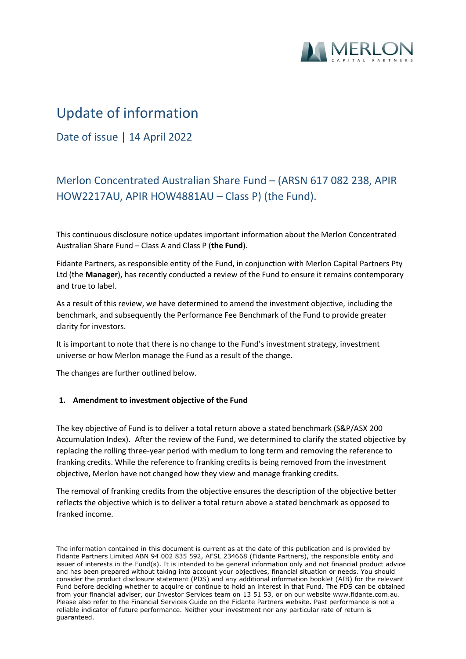

# Update of information

Date of issue | 14 April 2022

# Merlon Concentrated Australian Share Fund – (ARSN 617 082 238, APIR HOW2217AU, APIR HOW4881AU – Class P) (the Fund).

This continuous disclosure notice updates important information about the Merlon Concentrated Australian Share Fund – Class A and Class P (**the Fund**).

Fidante Partners, as responsible entity of the Fund, in conjunction with Merlon Capital Partners Pty Ltd (the **Manager**), has recently conducted a review of the Fund to ensure it remains contemporary and true to label.

As a result of this review, we have determined to amend the investment objective, including the benchmark, and subsequently the Performance Fee Benchmark of the Fund to provide greater clarity for investors.

It is important to note that there is no change to the Fund's investment strategy, investment universe or how Merlon manage the Fund as a result of the change.

The changes are further outlined below.

### **1. Amendment to investment objective of the Fund**

The key objective of Fund is to deliver a total return above a stated benchmark (S&P/ASX 200 Accumulation Index). After the review of the Fund, we determined to clarify the stated objective by replacing the rolling three-year period with medium to long term and removing the reference to franking credits. While the reference to franking credits is being removed from the investment objective, Merlon have not changed how they view and manage franking credits.

The removal of franking credits from the objective ensures the description of the objective better reflects the objective which is to deliver a total return above a stated benchmark as opposed to franked income.

The information contained in this document is current as at the date of this publication and is provided by Fidante Partners Limited ABN 94 002 835 592, AFSL 234668 (Fidante Partners), the responsible entity and issuer of interests in the Fund(s). It is intended to be general information only and not financial product advice and has been prepared without taking into account your objectives, financial situation or needs. You should consider the product disclosure statement (PDS) and any additional information booklet (AIB) for the relevant Fund before deciding whether to acquire or continue to hold an interest in that Fund. The PDS can be obtained from your financial adviser, our Investor Services team on 13 51 53, or on our website www.fidante.com.au. Please also refer to the Financial Services Guide on the Fidante Partners website. Past performance is not a reliable indicator of future performance. Neither your investment nor any particular rate of return is guaranteed.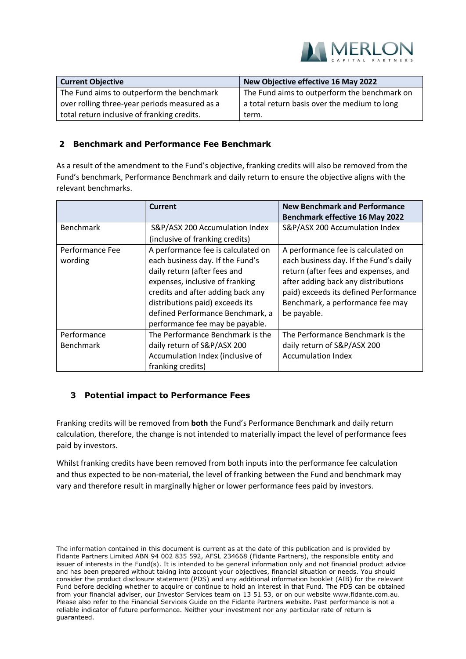

| <b>Current Objective</b>                      | New Objective effective 16 May 2022          |
|-----------------------------------------------|----------------------------------------------|
| The Fund aims to outperform the benchmark     | The Fund aims to outperform the benchmark on |
| over rolling three-year periods measured as a | a total return basis over the medium to long |
| total return inclusive of franking credits.   | term.                                        |

## **2 Benchmark and Performance Fee Benchmark**

As a result of the amendment to the Fund's objective, franking credits will also be removed from the Fund's benchmark, Performance Benchmark and daily return to ensure the objective aligns with the relevant benchmarks.

|                                 | <b>Current</b>                                                                                                                                                                                                                                                                           | <b>New Benchmark and Performance</b><br><b>Benchmark effective 16 May 2022</b>                                                                                                                                                                          |
|---------------------------------|------------------------------------------------------------------------------------------------------------------------------------------------------------------------------------------------------------------------------------------------------------------------------------------|---------------------------------------------------------------------------------------------------------------------------------------------------------------------------------------------------------------------------------------------------------|
| <b>Benchmark</b>                | S&P/ASX 200 Accumulation Index<br>(inclusive of franking credits)                                                                                                                                                                                                                        | S&P/ASX 200 Accumulation Index                                                                                                                                                                                                                          |
| Performance Fee<br>wording      | A performance fee is calculated on<br>each business day. If the Fund's<br>daily return (after fees and<br>expenses, inclusive of franking<br>credits and after adding back any<br>distributions paid) exceeds its<br>defined Performance Benchmark, a<br>performance fee may be payable. | A performance fee is calculated on<br>each business day. If the Fund's daily<br>return (after fees and expenses, and<br>after adding back any distributions<br>paid) exceeds its defined Performance<br>Benchmark, a performance fee may<br>be payable. |
| Performance<br><b>Benchmark</b> | The Performance Benchmark is the<br>daily return of S&P/ASX 200<br>Accumulation Index (inclusive of<br>franking credits)                                                                                                                                                                 | The Performance Benchmark is the<br>daily return of S&P/ASX 200<br><b>Accumulation Index</b>                                                                                                                                                            |

### **3 Potential impact to Performance Fees**

Franking credits will be removed from **both** the Fund's Performance Benchmark and daily return calculation, therefore, the change is not intended to materially impact the level of performance fees paid by investors.

Whilst franking credits have been removed from both inputs into the performance fee calculation and thus expected to be non-material, the level of franking between the Fund and benchmark may vary and therefore result in marginally higher or lower performance fees paid by investors.

The information contained in this document is current as at the date of this publication and is provided by Fidante Partners Limited ABN 94 002 835 592, AFSL 234668 (Fidante Partners), the responsible entity and issuer of interests in the Fund(s). It is intended to be general information only and not financial product advice and has been prepared without taking into account your objectives, financial situation or needs. You should consider the product disclosure statement (PDS) and any additional information booklet (AIB) for the relevant Fund before deciding whether to acquire or continue to hold an interest in that Fund. The PDS can be obtained from your financial adviser, our Investor Services team on 13 51 53, or on our website www.fidante.com.au. Please also refer to the Financial Services Guide on the Fidante Partners website. Past performance is not a reliable indicator of future performance. Neither your investment nor any particular rate of return is guaranteed.